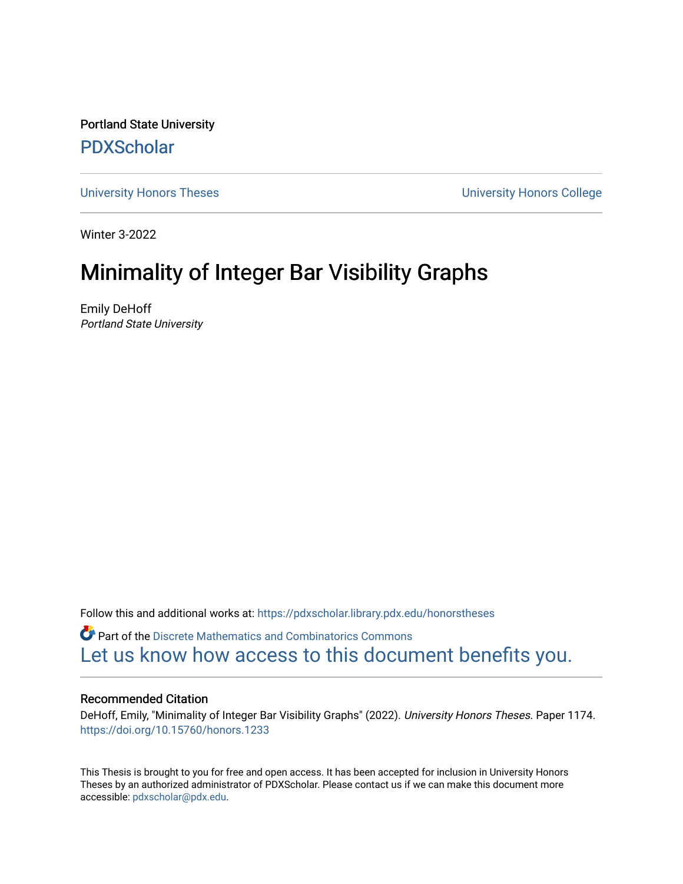Portland State University [PDXScholar](https://pdxscholar.library.pdx.edu/)

[University Honors Theses](https://pdxscholar.library.pdx.edu/honorstheses) [University Honors College](https://pdxscholar.library.pdx.edu/honors) 

Winter 3-2022

# Minimality of Integer Bar Visibility Graphs

Emily DeHoff Portland State University

Follow this and additional works at: [https://pdxscholar.library.pdx.edu/honorstheses](https://pdxscholar.library.pdx.edu/honorstheses?utm_source=pdxscholar.library.pdx.edu%2Fhonorstheses%2F1174&utm_medium=PDF&utm_campaign=PDFCoverPages) 

Part of the [Discrete Mathematics and Combinatorics Commons](https://network.bepress.com/hgg/discipline/178?utm_source=pdxscholar.library.pdx.edu%2Fhonorstheses%2F1174&utm_medium=PDF&utm_campaign=PDFCoverPages)  [Let us know how access to this document benefits you.](http://library.pdx.edu/services/pdxscholar-services/pdxscholar-feedback/) 

### Recommended Citation

DeHoff, Emily, "Minimality of Integer Bar Visibility Graphs" (2022). University Honors Theses. Paper 1174. <https://doi.org/10.15760/honors.1233>

This Thesis is brought to you for free and open access. It has been accepted for inclusion in University Honors Theses by an authorized administrator of PDXScholar. Please contact us if we can make this document more accessible: [pdxscholar@pdx.edu.](mailto:pdxscholar@pdx.edu)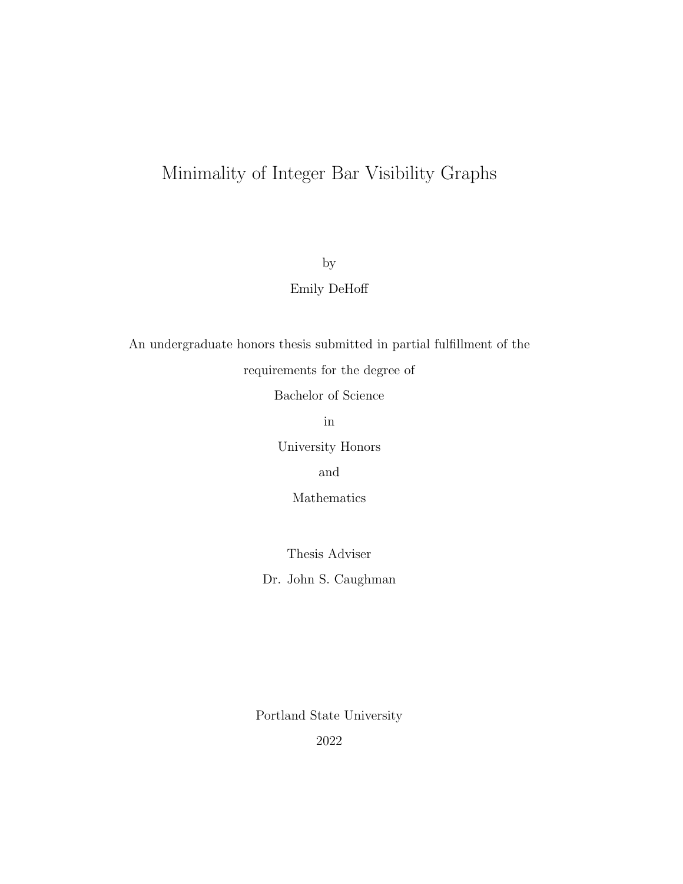## Minimality of Integer Bar Visibility Graphs

by

Emily DeHoff

An undergraduate honors thesis submitted in partial fulfillment of the

requirements for the degree of

Bachelor of Science

in

University Honors

and

Mathematics

Thesis Adviser

Dr. John S. Caughman

Portland State University

2022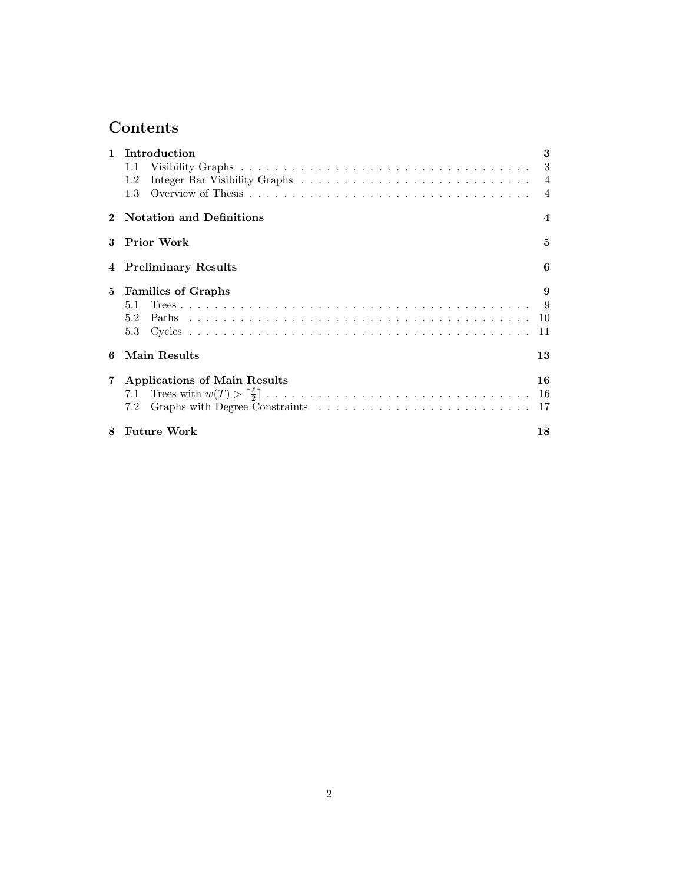## Contents

|                | Introduction                    | 3                      |
|----------------|---------------------------------|------------------------|
|                | 1.1                             |                        |
|                | 1.2                             |                        |
|                | 1.3                             | $\overline{4}$         |
|                | <b>Notation and Definitions</b> | $\boldsymbol{\Lambda}$ |
| 3              | Prior Work                      | 5                      |
| 4              | <b>Preliminary Results</b>      | 6                      |
| 5              | <b>Families of Graphs</b>       | 9                      |
|                | 5.1                             |                        |
|                |                                 |                        |
|                | 5.3                             | 11                     |
| 6              | Main Results                    | 13                     |
| $7\phantom{.}$ | Applications of Main Results    | 16                     |
|                |                                 | -16                    |
|                | 7.2                             | 17                     |
| 8              | <b>Future Work</b>              | 18                     |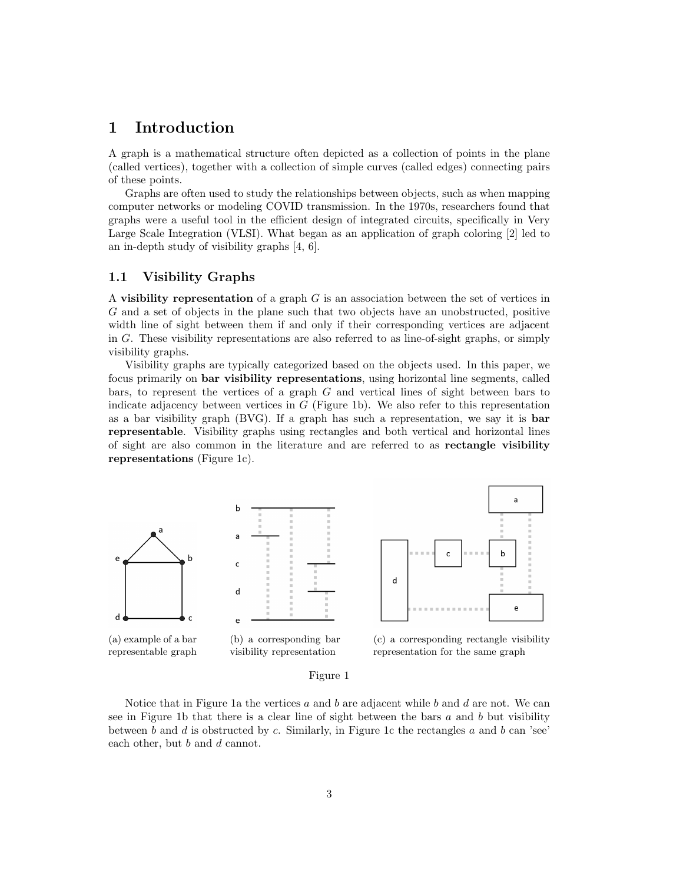## 1 Introduction

A graph is a mathematical structure often depicted as a collection of points in the plane (called vertices), together with a collection of simple curves (called edges) connecting pairs of these points.

Graphs are often used to study the relationships between objects, such as when mapping computer networks or modeling COVID transmission. In the 1970s, researchers found that graphs were a useful tool in the efficient design of integrated circuits, specifically in Very Large Scale Integration (VLSI). What began as an application of graph coloring [2] led to an in-depth study of visibility graphs [4, 6].

#### 1.1 Visibility Graphs

A visibility representation of a graph  $G$  is an association between the set of vertices in G and a set of objects in the plane such that two objects have an unobstructed, positive width line of sight between them if and only if their corresponding vertices are adjacent in G. These visibility representations are also referred to as line-of-sight graphs, or simply visibility graphs.

Visibility graphs are typically categorized based on the objects used. In this paper, we focus primarily on bar visibility representations, using horizontal line segments, called bars, to represent the vertices of a graph  $G$  and vertical lines of sight between bars to indicate adjacency between vertices in  $G$  (Figure 1b). We also refer to this representation as a bar visibility graph (BVG). If a graph has such a representation, we say it is bar representable. Visibility graphs using rectangles and both vertical and horizontal lines of sight are also common in the literature and are referred to as rectangle visibility representations (Figure 1c).



#### Figure 1

Notice that in Figure 1a the vertices a and b are adjacent while b and d are not. We can see in Figure 1b that there is a clear line of sight between the bars  $a$  and  $b$  but visibility between  $b$  and  $d$  is obstructed by  $c$ . Similarly, in Figure 1c the rectangles  $a$  and  $b$  can 'see' each other, but b and d cannot.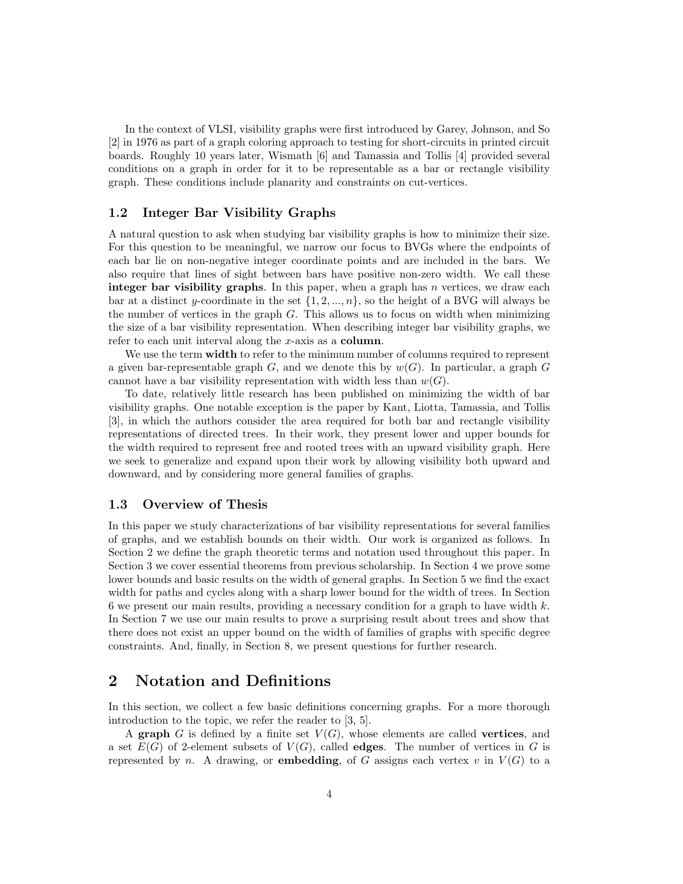In the context of VLSI, visibility graphs were first introduced by Garey, Johnson, and So [2] in 1976 as part of a graph coloring approach to testing for short-circuits in printed circuit boards. Roughly 10 years later, Wismath [6] and Tamassia and Tollis [4] provided several conditions on a graph in order for it to be representable as a bar or rectangle visibility graph. These conditions include planarity and constraints on cut-vertices.

#### 1.2 Integer Bar Visibility Graphs

A natural question to ask when studying bar visibility graphs is how to minimize their size. For this question to be meaningful, we narrow our focus to BVGs where the endpoints of each bar lie on non-negative integer coordinate points and are included in the bars. We also require that lines of sight between bars have positive non-zero width. We call these integer bar visibility graphs. In this paper, when a graph has  $n$  vertices, we draw each bar at a distinct y-coordinate in the set  $\{1, 2, ..., n\}$ , so the height of a BVG will always be the number of vertices in the graph  $G$ . This allows us to focus on width when minimizing the size of a bar visibility representation. When describing integer bar visibility graphs, we refer to each unit interval along the x-axis as a column.

We use the term **width** to refer to the minimum number of columns required to represent a given bar-representable graph G, and we denote this by  $w(G)$ . In particular, a graph G cannot have a bar visibility representation with width less than  $w(G)$ .

To date, relatively little research has been published on minimizing the width of bar visibility graphs. One notable exception is the paper by Kant, Liotta, Tamassia, and Tollis [3], in which the authors consider the area required for both bar and rectangle visibility representations of directed trees. In their work, they present lower and upper bounds for the width required to represent free and rooted trees with an upward visibility graph. Here we seek to generalize and expand upon their work by allowing visibility both upward and downward, and by considering more general families of graphs.

#### 1.3 Overview of Thesis

In this paper we study characterizations of bar visibility representations for several families of graphs, and we establish bounds on their width. Our work is organized as follows. In Section 2 we define the graph theoretic terms and notation used throughout this paper. In Section 3 we cover essential theorems from previous scholarship. In Section 4 we prove some lower bounds and basic results on the width of general graphs. In Section 5 we find the exact width for paths and cycles along with a sharp lower bound for the width of trees. In Section 6 we present our main results, providing a necessary condition for a graph to have width  $k$ . In Section 7 we use our main results to prove a surprising result about trees and show that there does not exist an upper bound on the width of families of graphs with specific degree constraints. And, finally, in Section 8, we present questions for further research.

## 2 Notation and Definitions

In this section, we collect a few basic definitions concerning graphs. For a more thorough introduction to the topic, we refer the reader to [3, 5].

A graph G is defined by a finite set  $V(G)$ , whose elements are called **vertices**, and a set  $E(G)$  of 2-element subsets of  $V(G)$ , called **edges**. The number of vertices in G is represented by n. A drawing, or **embedding**, of G assigns each vertex v in  $V(G)$  to a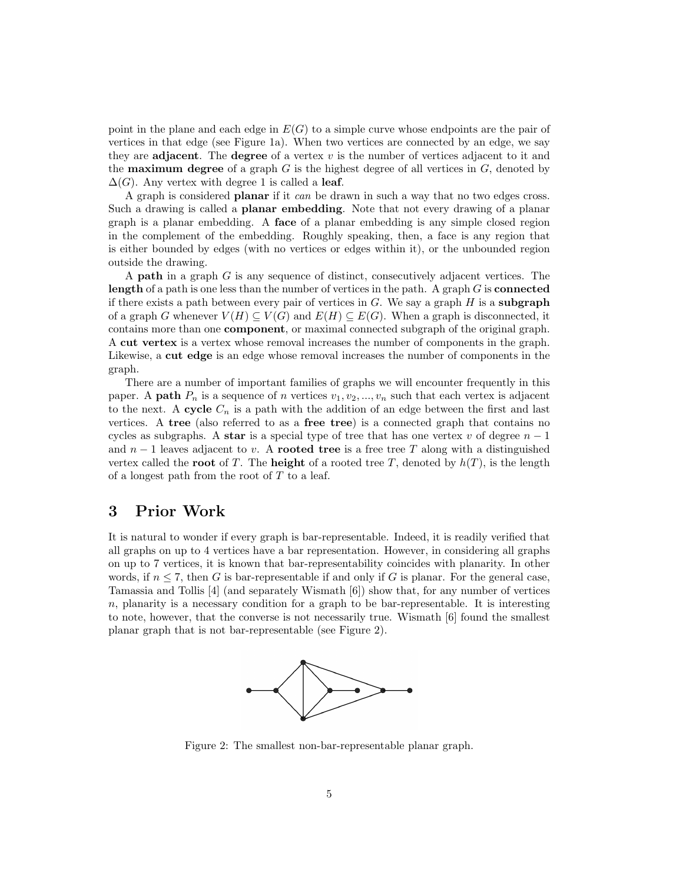point in the plane and each edge in  $E(G)$  to a simple curve whose endpoints are the pair of vertices in that edge (see Figure 1a). When two vertices are connected by an edge, we say they are adjacent. The degree of a vertex  $v$  is the number of vertices adjacent to it and the **maximum degree** of a graph  $G$  is the highest degree of all vertices in  $G$ , denoted by  $\Delta(G)$ . Any vertex with degree 1 is called a leaf.

A graph is considered planar if it can be drawn in such a way that no two edges cross. Such a drawing is called a planar embedding. Note that not every drawing of a planar graph is a planar embedding. A face of a planar embedding is any simple closed region in the complement of the embedding. Roughly speaking, then, a face is any region that is either bounded by edges (with no vertices or edges within it), or the unbounded region outside the drawing.

A path in a graph G is any sequence of distinct, consecutively adjacent vertices. The length of a path is one less than the number of vertices in the path. A graph  $G$  is **connected** if there exists a path between every pair of vertices in  $G$ . We say a graph  $H$  is a **subgraph** of a graph G whenever  $V(H) \subseteq V(G)$  and  $E(H) \subseteq E(G)$ . When a graph is disconnected, it contains more than one component, or maximal connected subgraph of the original graph. A cut vertex is a vertex whose removal increases the number of components in the graph. Likewise, a cut edge is an edge whose removal increases the number of components in the graph.

There are a number of important families of graphs we will encounter frequently in this paper. A **path**  $P_n$  is a sequence of n vertices  $v_1, v_2, ..., v_n$  such that each vertex is adjacent to the next. A cycle  $C_n$  is a path with the addition of an edge between the first and last vertices. A tree (also referred to as a free tree) is a connected graph that contains no cycles as subgraphs. A star is a special type of tree that has one vertex v of degree  $n-1$ and  $n-1$  leaves adjacent to v. A **rooted tree** is a free tree T along with a distinguished vertex called the **root** of T. The **height** of a rooted tree T, denoted by  $h(T)$ , is the length of a longest path from the root of T to a leaf.

## 3 Prior Work

It is natural to wonder if every graph is bar-representable. Indeed, it is readily verified that all graphs on up to 4 vertices have a bar representation. However, in considering all graphs on up to 7 vertices, it is known that bar-representability coincides with planarity. In other words, if  $n \leq 7$ , then G is bar-representable if and only if G is planar. For the general case, Tamassia and Tollis [4] (and separately Wismath [6]) show that, for any number of vertices  $n$ , planarity is a necessary condition for a graph to be bar-representable. It is interesting to note, however, that the converse is not necessarily true. Wismath [6] found the smallest planar graph that is not bar-representable (see Figure 2).



Figure 2: The smallest non-bar-representable planar graph.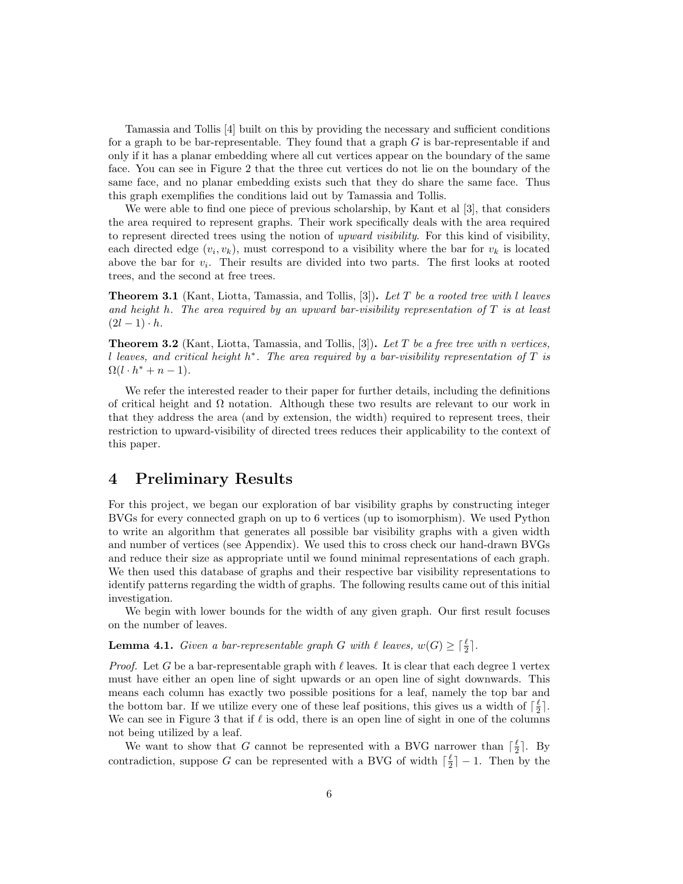Tamassia and Tollis [4] built on this by providing the necessary and sufficient conditions for a graph to be bar-representable. They found that a graph  $G$  is bar-representable if and only if it has a planar embedding where all cut vertices appear on the boundary of the same face. You can see in Figure 2 that the three cut vertices do not lie on the boundary of the same face, and no planar embedding exists such that they do share the same face. Thus this graph exemplifies the conditions laid out by Tamassia and Tollis.

We were able to find one piece of previous scholarship, by Kant et al [3], that considers the area required to represent graphs. Their work specifically deals with the area required to represent directed trees using the notion of upward visibility. For this kind of visibility, each directed edge  $(v_i, v_k)$ , must correspond to a visibility where the bar for  $v_k$  is located above the bar for  $v_i$ . Their results are divided into two parts. The first looks at rooted trees, and the second at free trees.

**Theorem 3.1** (Kant, Liotta, Tamassia, and Tollis, [3]). Let T be a rooted tree with l leaves and height h. The area required by an upward bar-visibility representation of  $T$  is at least  $(2l-1)\cdot h$ .

**Theorem 3.2** (Kant, Liotta, Tamassia, and Tollis, [3]). Let T be a free tree with n vertices, l leaves, and critical height  $h^*$ . The area required by a bar-visibility representation of T is  $\Omega(l \cdot h^* + n - 1).$ 

We refer the interested reader to their paper for further details, including the definitions of critical height and  $\Omega$  notation. Although these two results are relevant to our work in that they address the area (and by extension, the width) required to represent trees, their restriction to upward-visibility of directed trees reduces their applicability to the context of this paper.

## 4 Preliminary Results

For this project, we began our exploration of bar visibility graphs by constructing integer BVGs for every connected graph on up to 6 vertices (up to isomorphism). We used Python to write an algorithm that generates all possible bar visibility graphs with a given width and number of vertices (see Appendix). We used this to cross check our hand-drawn BVGs and reduce their size as appropriate until we found minimal representations of each graph. We then used this database of graphs and their respective bar visibility representations to identify patterns regarding the width of graphs. The following results came out of this initial investigation.

We begin with lower bounds for the width of any given graph. Our first result focuses on the number of leaves.

**Lemma 4.1.** Given a bar-representable graph G with  $\ell$  leaves,  $w(G) \geq \lceil \frac{\ell}{2} \rceil$ .

*Proof.* Let G be a bar-representable graph with  $\ell$  leaves. It is clear that each degree 1 vertex must have either an open line of sight upwards or an open line of sight downwards. This means each column has exactly two possible positions for a leaf, namely the top bar and the bottom bar. If we utilize every one of these leaf positions, this gives us a width of  $\lceil \frac{\ell}{2} \rceil$ . We can see in Figure 3 that if  $\ell$  is odd, there is an open line of sight in one of the columns not being utilized by a leaf.

We want to show that G cannot be represented with a BVG narrower than  $\lceil \frac{\ell}{2} \rceil$ . By contradiction, suppose G can be represented with a BVG of width  $\lceil \frac{\ell}{2} \rceil - 1$ . Then by the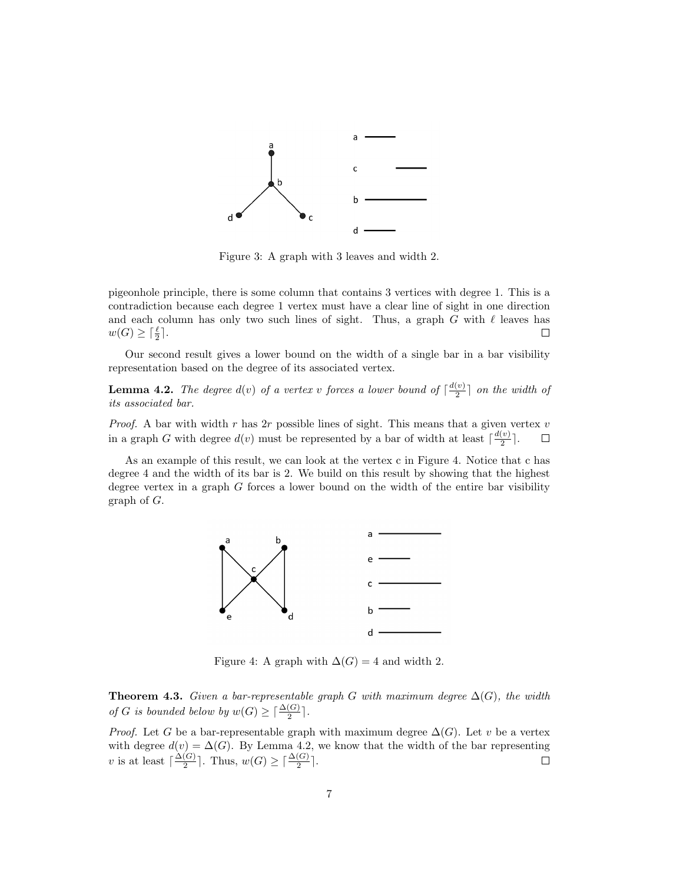

Figure 3: A graph with 3 leaves and width 2.

pigeonhole principle, there is some column that contains 3 vertices with degree 1. This is a contradiction because each degree 1 vertex must have a clear line of sight in one direction and each column has only two such lines of sight. Thus, a graph G with  $\ell$  leaves has  $w(G) \geq \lceil \frac{\ell}{2} \rceil$ .  $\Box$ 

Our second result gives a lower bound on the width of a single bar in a bar visibility representation based on the degree of its associated vertex.

**Lemma 4.2.** The degree  $d(v)$  of a vertex v forces a lower bound of  $\lceil \frac{d(v)}{2} \rceil$  $\frac{v}{2}$  on the width of its associated bar.

*Proof.* A bar with width r has 2r possible lines of sight. This means that a given vertex  $v$ in a graph G with degree  $d(v)$  must be represented by a bar of width at least  $\lceil \frac{d(v)}{2} \rceil$  $\frac{\binom{v}{2}}{2}$ .  $\Box$ 

As an example of this result, we can look at the vertex c in Figure 4. Notice that c has degree 4 and the width of its bar is 2. We build on this result by showing that the highest degree vertex in a graph  $G$  forces a lower bound on the width of the entire bar visibility graph of G.



Figure 4: A graph with  $\Delta(G) = 4$  and width 2.

**Theorem 4.3.** Given a bar-representable graph G with maximum degree  $\Delta(G)$ , the width of G is bounded below by  $w(G) \geq \lceil \frac{\Delta(G)}{2} \rceil$ .

*Proof.* Let G be a bar-representable graph with maximum degree  $\Delta(G)$ . Let v be a vertex with degree  $d(v) = \Delta(G)$ . By Lemma 4.2, we know that the width of the bar representing v is at least  $\lceil \frac{\Delta(G)}{2} \rceil$  $\frac{(G)}{2}$ . Thus,  $w(G) \geq \lceil \frac{\Delta(G)}{2} \rceil$ .  $\Box$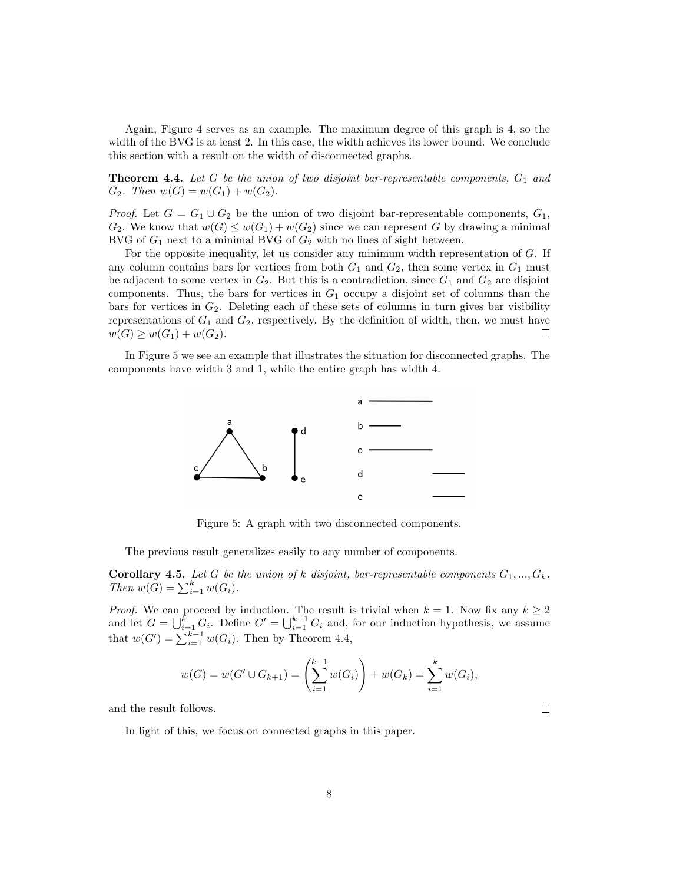Again, Figure 4 serves as an example. The maximum degree of this graph is 4, so the width of the BVG is at least 2. In this case, the width achieves its lower bound. We conclude this section with a result on the width of disconnected graphs.

**Theorem 4.4.** Let G be the union of two disjoint bar-representable components,  $G_1$  and  $G_2$ . Then  $w(G) = w(G_1) + w(G_2)$ .

*Proof.* Let  $G = G_1 \cup G_2$  be the union of two disjoint bar-representable components,  $G_1$ ,  $G_2$ . We know that  $w(G) \leq w(G_1) + w(G_2)$  since we can represent G by drawing a minimal BVG of  $G_1$  next to a minimal BVG of  $G_2$  with no lines of sight between.

For the opposite inequality, let us consider any minimum width representation of G. If any column contains bars for vertices from both  $G_1$  and  $G_2$ , then some vertex in  $G_1$  must be adjacent to some vertex in  $G_2$ . But this is a contradiction, since  $G_1$  and  $G_2$  are disjoint components. Thus, the bars for vertices in  $G_1$  occupy a disjoint set of columns than the bars for vertices in  $G_2$ . Deleting each of these sets of columns in turn gives bar visibility representations of  $G_1$  and  $G_2$ , respectively. By the definition of width, then, we must have  $w(G) \geq w(G_1) + w(G_2).$  $\Box$ 

In Figure 5 we see an example that illustrates the situation for disconnected graphs. The components have width 3 and 1, while the entire graph has width 4.



Figure 5: A graph with two disconnected components.

The previous result generalizes easily to any number of components.

**Corollary 4.5.** Let G be the union of k disjoint, bar-representable components  $G_1, ..., G_k$ . Then  $w(G) = \sum_{i=1}^{k} w(G_i)$ .

*Proof.* We can proceed by induction. The result is trivial when  $k = 1$ . Now fix any  $k \geq 2$ and let  $G = \bigcup_{i=1}^{k} G_i$ . Define  $G' = \bigcup_{i=1}^{k-1} G_i$  and, for our induction hypothesis, we assume that  $w(G') = \sum_{i=1}^{k-1} w(G_i)$ . Then by Theorem 4.4,

$$
w(G) = w(G' \cup G_{k+1}) = \left(\sum_{i=1}^{k-1} w(G_i)\right) + w(G_k) = \sum_{i=1}^{k} w(G_i),
$$

and the result follows.

In light of this, we focus on connected graphs in this paper.

 $\Box$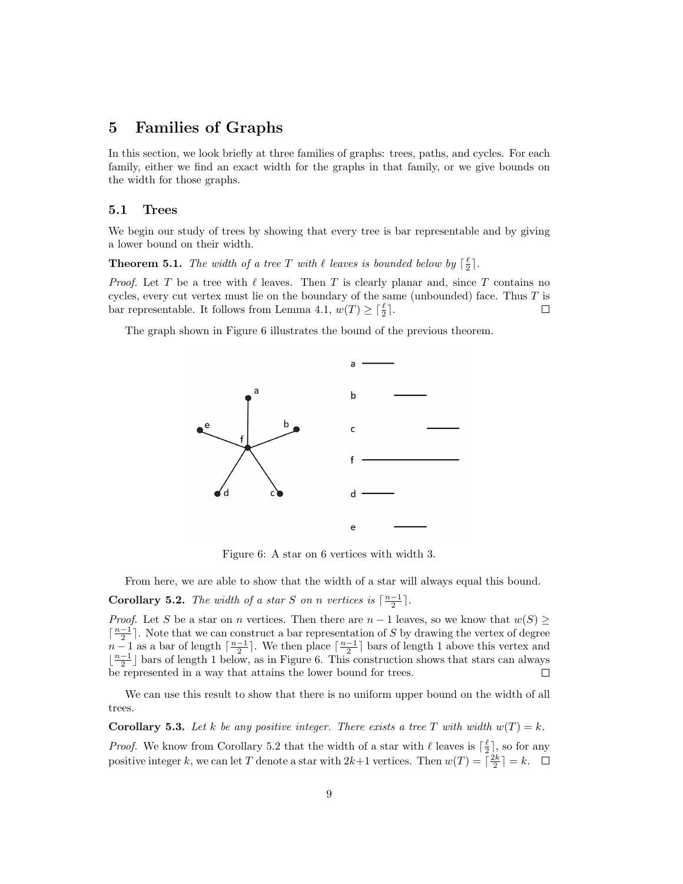## 5 Families of Graphs

In this section, we look briefly at three families of graphs: trees, paths, and cycles. For each family, either we find an exact width for the graphs in that family, or we give bounds on the width for those graphs.

#### 5.1 Trees

We begin our study of trees by showing that every tree is bar representable and by giving a lower bound on their width.

**Theorem 5.1.** The width of a tree T with  $\ell$  leaves is bounded below by  $\lceil \frac{\ell}{2} \rceil$ .

*Proof.* Let T be a tree with  $\ell$  leaves. Then T is clearly planar and, since T contains no cycles, every cut vertex must lie on the boundary of the same (unbounded) face. Thus  $T$  is bar representable. It follows from Lemma 4.1,  $w(T) \geq \lceil \frac{\ell}{2} \rceil$ .  $\Box$ 

The graph shown in Figure 6 illustrates the bound of the previous theorem.



Figure 6: A star on 6 vertices with width 3.

From here, we are able to show that the width of a star will always equal this bound.

**Corollary 5.2.** The width of a star S on n vertices is  $\lceil \frac{n-1}{2} \rceil$ .

*Proof.* Let S be a star on n vertices. Then there are  $n-1$  leaves, so we know that  $w(S) \geq$  $\lceil \frac{n-1}{2} \rceil$ . Note that we can construct a bar representation of S by drawing the vertex of degree  $n-1$  as a bar of length  $\lceil \frac{n-1}{2} \rceil$ . We then place  $\lceil \frac{n-1}{2} \rceil$  bars of length 1 above this vertex and  $\lfloor \frac{n-1}{2} \rfloor$  bars of length 1 below, as in Figure 6. This construction shows that stars can always be represented in a way that attains the lower bound for trees.  $\Box$ 

We can use this result to show that there is no uniform upper bound on the width of all trees.

**Corollary 5.3.** Let k be any positive integer. There exists a tree T with width  $w(T) = k$ . *Proof.* We know from Corollary 5.2 that the width of a star with  $\ell$  leaves is  $\lceil \frac{\ell}{2} \rceil$ , so for any positive integer k, we can let T denote a star with  $2k+1$  vertices. Then  $w(T) = \lceil \frac{2k}{2} \rceil = k$ .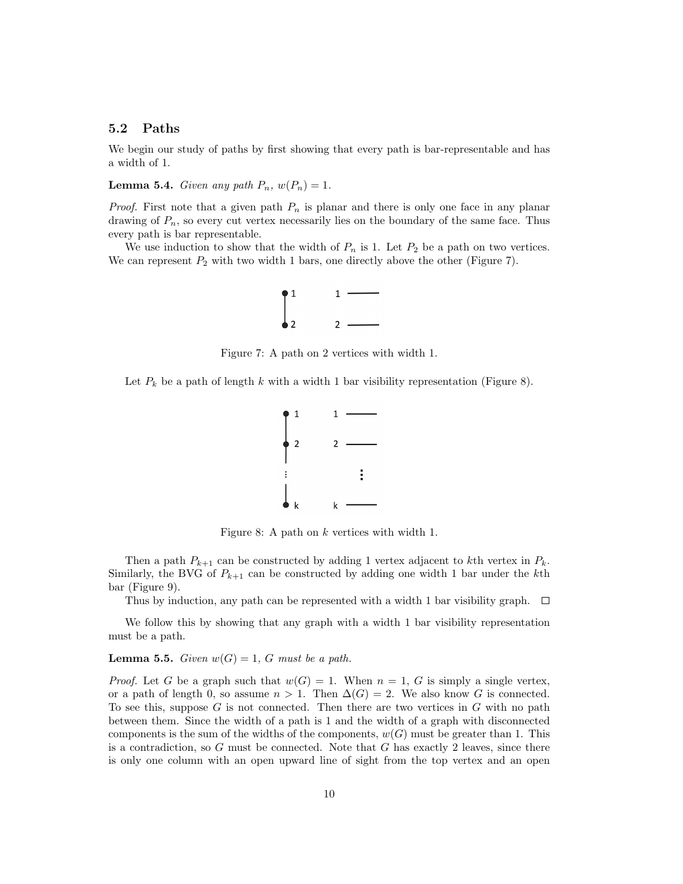#### 5.2 Paths

We begin our study of paths by first showing that every path is bar-representable and has a width of 1.

**Lemma 5.4.** Given any path  $P_n$ ,  $w(P_n) = 1$ .

*Proof.* First note that a given path  $P_n$  is planar and there is only one face in any planar drawing of  $P_n$ , so every cut vertex necessarily lies on the boundary of the same face. Thus every path is bar representable.

We use induction to show that the width of  $P_n$  is 1. Let  $P_2$  be a path on two vertices. We can represent  $P_2$  with two width 1 bars, one directly above the other (Figure 7).



Figure 7: A path on 2 vertices with width 1.

Let  $P_k$  be a path of length k with a width 1 bar visibility representation (Figure 8).



Figure 8: A path on k vertices with width 1.

Then a path  $P_{k+1}$  can be constructed by adding 1 vertex adjacent to kth vertex in  $P_k$ . Similarly, the BVG of  $P_{k+1}$  can be constructed by adding one width 1 bar under the kth bar (Figure 9).

Thus by induction, any path can be represented with a width 1 bar visibility graph.  $\Box$ 

We follow this by showing that any graph with a width 1 bar visibility representation must be a path.

## **Lemma 5.5.** Given  $w(G) = 1$ , G must be a path.

*Proof.* Let G be a graph such that  $w(G) = 1$ . When  $n = 1$ , G is simply a single vertex. or a path of length 0, so assume  $n > 1$ . Then  $\Delta(G) = 2$ . We also know G is connected. To see this, suppose  $G$  is not connected. Then there are two vertices in  $G$  with no path between them. Since the width of a path is 1 and the width of a graph with disconnected components is the sum of the widths of the components,  $w(G)$  must be greater than 1. This is a contradiction, so  $G$  must be connected. Note that  $G$  has exactly 2 leaves, since there is only one column with an open upward line of sight from the top vertex and an open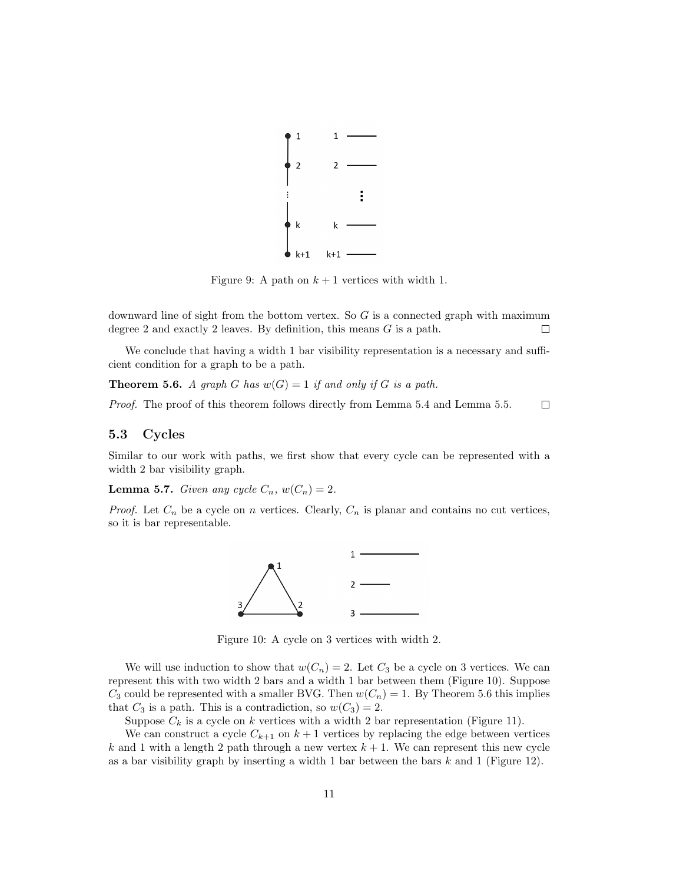

Figure 9: A path on  $k + 1$  vertices with width 1.

downward line of sight from the bottom vertex. So  $G$  is a connected graph with maximum degree 2 and exactly 2 leaves. By definition, this means G is a path.  $\Box$ 

We conclude that having a width 1 bar visibility representation is a necessary and sufficient condition for a graph to be a path.

**Theorem 5.6.** A graph G has  $w(G) = 1$  if and only if G is a path.

Proof. The proof of this theorem follows directly from Lemma 5.4 and Lemma 5.5.  $\Box$ 

#### 5.3 Cycles

Similar to our work with paths, we first show that every cycle can be represented with a width 2 bar visibility graph.

**Lemma 5.7.** Given any cycle  $C_n$ ,  $w(C_n) = 2$ .

*Proof.* Let  $C_n$  be a cycle on n vertices. Clearly,  $C_n$  is planar and contains no cut vertices, so it is bar representable.



Figure 10: A cycle on 3 vertices with width 2.

We will use induction to show that  $w(C_n) = 2$ . Let  $C_3$  be a cycle on 3 vertices. We can represent this with two width 2 bars and a width 1 bar between them (Figure 10). Suppose  $C_3$  could be represented with a smaller BVG. Then  $w(C_n) = 1$ . By Theorem 5.6 this implies that  $C_3$  is a path. This is a contradiction, so  $w(C_3) = 2$ .

Suppose  $C_k$  is a cycle on k vertices with a width 2 bar representation (Figure 11).

We can construct a cycle  $C_{k+1}$  on  $k+1$  vertices by replacing the edge between vertices k and 1 with a length 2 path through a new vertex  $k + 1$ . We can represent this new cycle as a bar visibility graph by inserting a width 1 bar between the bars  $k$  and 1 (Figure 12).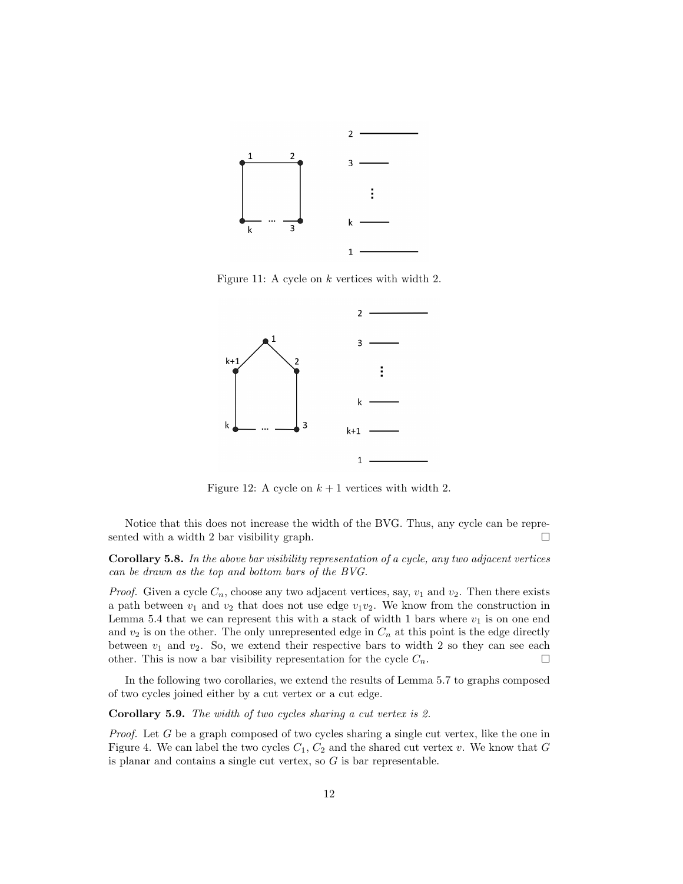

Figure 11: A cycle on k vertices with width 2.



Figure 12: A cycle on  $k + 1$  vertices with width 2.

Notice that this does not increase the width of the BVG. Thus, any cycle can be represented with a width 2 bar visibility graph.  $\Box$ 

Corollary 5.8. In the above bar visibility representation of a cycle, any two adjacent vertices can be drawn as the top and bottom bars of the BVG.

*Proof.* Given a cycle  $C_n$ , choose any two adjacent vertices, say,  $v_1$  and  $v_2$ . Then there exists a path between  $v_1$  and  $v_2$  that does not use edge  $v_1v_2$ . We know from the construction in Lemma 5.4 that we can represent this with a stack of width 1 bars where  $v_1$  is on one end and  $v_2$  is on the other. The only unrepresented edge in  $C_n$  at this point is the edge directly between  $v_1$  and  $v_2$ . So, we extend their respective bars to width 2 so they can see each other. This is now a bar visibility representation for the cycle  $C_n$ .  $\Box$ 

In the following two corollaries, we extend the results of Lemma 5.7 to graphs composed of two cycles joined either by a cut vertex or a cut edge.

Corollary 5.9. The width of two cycles sharing a cut vertex is 2.

*Proof.* Let  $G$  be a graph composed of two cycles sharing a single cut vertex, like the one in Figure 4. We can label the two cycles  $C_1, C_2$  and the shared cut vertex v. We know that G is planar and contains a single cut vertex, so  $G$  is bar representable.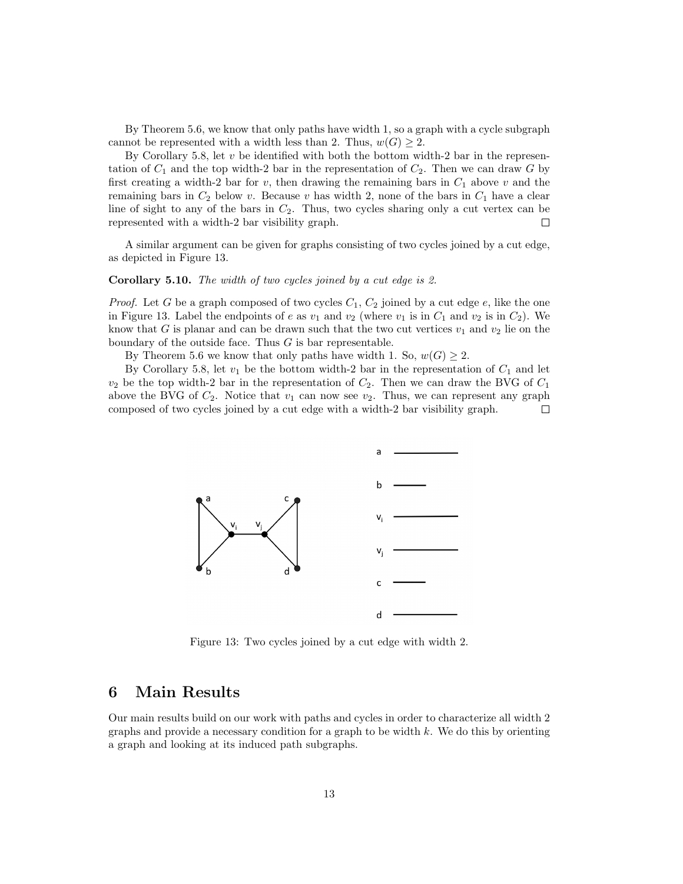By Theorem 5.6, we know that only paths have width 1, so a graph with a cycle subgraph cannot be represented with a width less than 2. Thus,  $w(G) \geq 2$ .

By Corollary 5.8, let  $v$  be identified with both the bottom width-2 bar in the representation of  $C_1$  and the top width-2 bar in the representation of  $C_2$ . Then we can draw G by first creating a width-2 bar for v, then drawing the remaining bars in  $C_1$  above v and the remaining bars in  $C_2$  below v. Because v has width 2, none of the bars in  $C_1$  have a clear line of sight to any of the bars in  $C_2$ . Thus, two cycles sharing only a cut vertex can be represented with a width-2 bar visibility graph.  $\Box$ 

A similar argument can be given for graphs consisting of two cycles joined by a cut edge, as depicted in Figure 13.

#### Corollary 5.10. The width of two cycles joined by a cut edge is 2.

*Proof.* Let G be a graph composed of two cycles  $C_1$ ,  $C_2$  joined by a cut edge e, like the one in Figure 13. Label the endpoints of e as  $v_1$  and  $v_2$  (where  $v_1$  is in  $C_1$  and  $v_2$  is in  $C_2$ ). We know that G is planar and can be drawn such that the two cut vertices  $v_1$  and  $v_2$  lie on the boundary of the outside face. Thus  $G$  is bar representable.

By Theorem 5.6 we know that only paths have width 1. So,  $w(G) \geq 2$ .

By Corollary 5.8, let  $v_1$  be the bottom width-2 bar in the representation of  $C_1$  and let  $v_2$  be the top width-2 bar in the representation of  $C_2$ . Then we can draw the BVG of  $C_1$ above the BVG of  $C_2$ . Notice that  $v_1$  can now see  $v_2$ . Thus, we can represent any graph composed of two cycles joined by a cut edge with a width-2 bar visibility graph.  $\Box$ 



Figure 13: Two cycles joined by a cut edge with width 2.

## 6 Main Results

Our main results build on our work with paths and cycles in order to characterize all width 2 graphs and provide a necessary condition for a graph to be width  $k$ . We do this by orienting a graph and looking at its induced path subgraphs.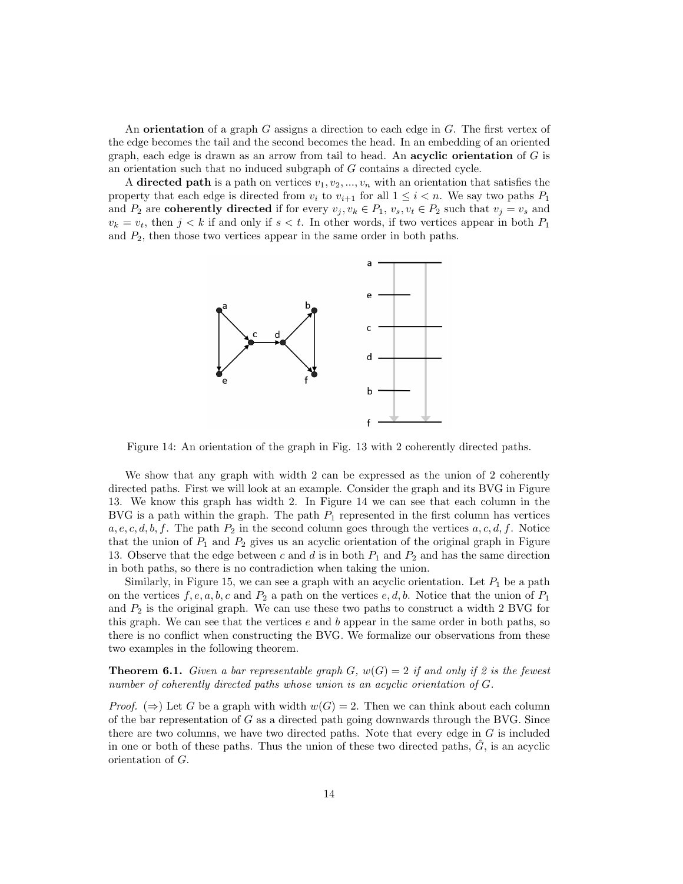An **orientation** of a graph  $G$  assigns a direction to each edge in  $G$ . The first vertex of the edge becomes the tail and the second becomes the head. In an embedding of an oriented graph, each edge is drawn as an arrow from tail to head. An **acyclic orientation** of  $G$  is an orientation such that no induced subgraph of G contains a directed cycle.

A directed path is a path on vertices  $v_1, v_2, ..., v_n$  with an orientation that satisfies the property that each edge is directed from  $v_i$  to  $v_{i+1}$  for all  $1 \leq i \leq n$ . We say two paths  $P_1$ and  $P_2$  are coherently directed if for every  $v_j, v_k \in P_1, v_s, v_t \in P_2$  such that  $v_j = v_s$  and  $v_k = v_t$ , then  $j < k$  if and only if  $s < t$ . In other words, if two vertices appear in both  $P_1$ and  $P_2$ , then those two vertices appear in the same order in both paths.



Figure 14: An orientation of the graph in Fig. 13 with 2 coherently directed paths.

We show that any graph with width 2 can be expressed as the union of 2 coherently directed paths. First we will look at an example. Consider the graph and its BVG in Figure 13. We know this graph has width 2. In Figure 14 we can see that each column in the BVG is a path within the graph. The path  $P_1$  represented in the first column has vertices  $a, e, c, d, b, f$ . The path  $P_2$  in the second column goes through the vertices  $a, c, d, f$ . Notice that the union of  $P_1$  and  $P_2$  gives us an acyclic orientation of the original graph in Figure 13. Observe that the edge between c and d is in both  $P_1$  and  $P_2$  and has the same direction in both paths, so there is no contradiction when taking the union.

Similarly, in Figure 15, we can see a graph with an acyclic orientation. Let  $P_1$  be a path on the vertices  $f, e, a, b, c$  and  $P_2$  a path on the vertices  $e, d, b$ . Notice that the union of  $P_1$ and  $P_2$  is the original graph. We can use these two paths to construct a width 2 BVG for this graph. We can see that the vertices  $e$  and  $b$  appear in the same order in both paths, so there is no conflict when constructing the BVG. We formalize our observations from these two examples in the following theorem.

**Theorem 6.1.** Given a bar representable graph G,  $w(G) = 2$  if and only if 2 is the fewest number of coherently directed paths whose union is an acyclic orientation of G.

*Proof.* ( $\Rightarrow$ ) Let G be a graph with width  $w(G) = 2$ . Then we can think about each column of the bar representation of  $G$  as a directed path going downwards through the BVG. Since there are two columns, we have two directed paths. Note that every edge in  $G$  is included in one or both of these paths. Thus the union of these two directed paths,  $\ddot{G}$ , is an acyclic orientation of G.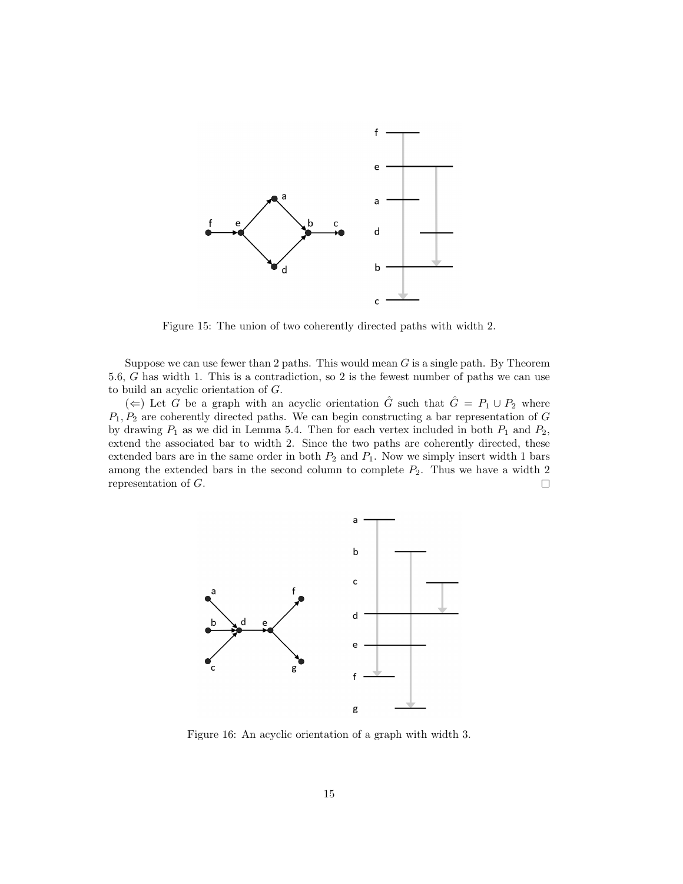

Figure 15: The union of two coherently directed paths with width 2.

Suppose we can use fewer than 2 paths. This would mean  $G$  is a single path. By Theorem 5.6, G has width 1. This is a contradiction, so 2 is the fewest number of paths we can use to build an acyclic orientation of G.

(←) Let G be a graph with an acyclic orientation  $\hat{G}$  such that  $\hat{G} = P_1 \cup P_2$  where  $P_1, P_2$  are coherently directed paths. We can begin constructing a bar representation of G by drawing  $P_1$  as we did in Lemma 5.4. Then for each vertex included in both  $P_1$  and  $P_2$ , extend the associated bar to width 2. Since the two paths are coherently directed, these extended bars are in the same order in both  $P_2$  and  $P_1$ . Now we simply insert width 1 bars among the extended bars in the second column to complete  $P_2$ . Thus we have a width 2 representation of G.  $\Box$ 



Figure 16: An acyclic orientation of a graph with width 3.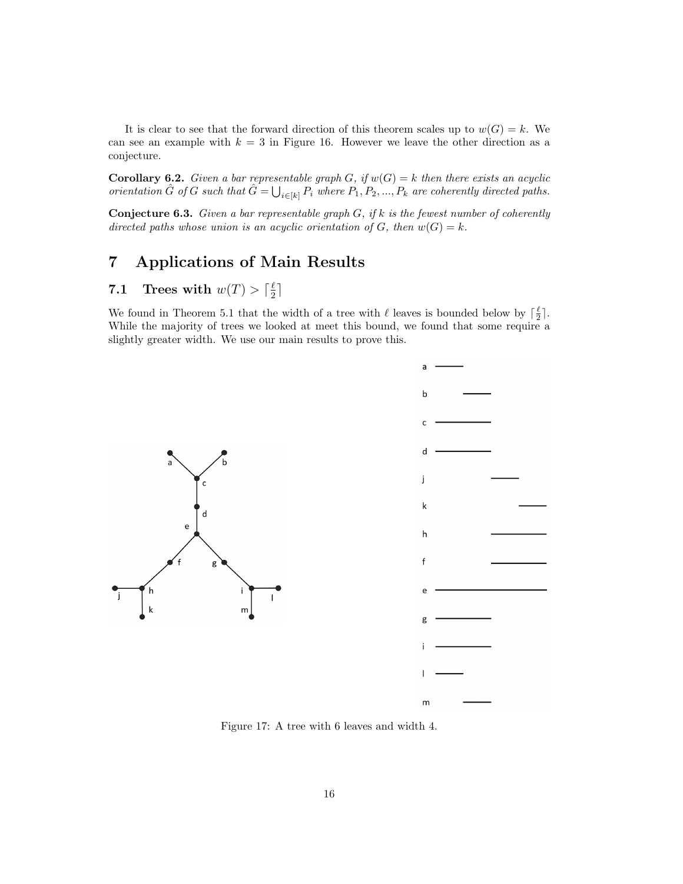It is clear to see that the forward direction of this theorem scales up to  $w(G) = k$ . We can see an example with  $k = 3$  in Figure 16. However we leave the other direction as a conjecture.

**Corollary 6.2.** Given a bar representable graph G, if  $w(G) = k$  then there exists an acyclic orientation  $\hat{G}$  of G such that  $\hat{G} = \bigcup_{i \in [k]} P_i$  where  $P_1, P_2, ..., P_k$  are coherently directed paths.

**Conjecture 6.3.** Given a bar representable graph  $G$ , if  $k$  is the fewest number of coherently directed paths whose union is an acyclic orientation of G, then  $w(G) = k$ .

## 7 Applications of Main Results

#### 7.1 Trees with  $w(T) > \lceil \frac{\ell}{2} \rceil$  $\frac{\ell}{2}$ ]

We found in Theorem 5.1 that the width of a tree with  $\ell$  leaves is bounded below by  $\lceil \frac{\ell}{2} \rceil$ . While the majority of trees we looked at meet this bound, we found that some require a slightly greater width. We use our main results to prove this.





Figure 17: A tree with 6 leaves and width 4.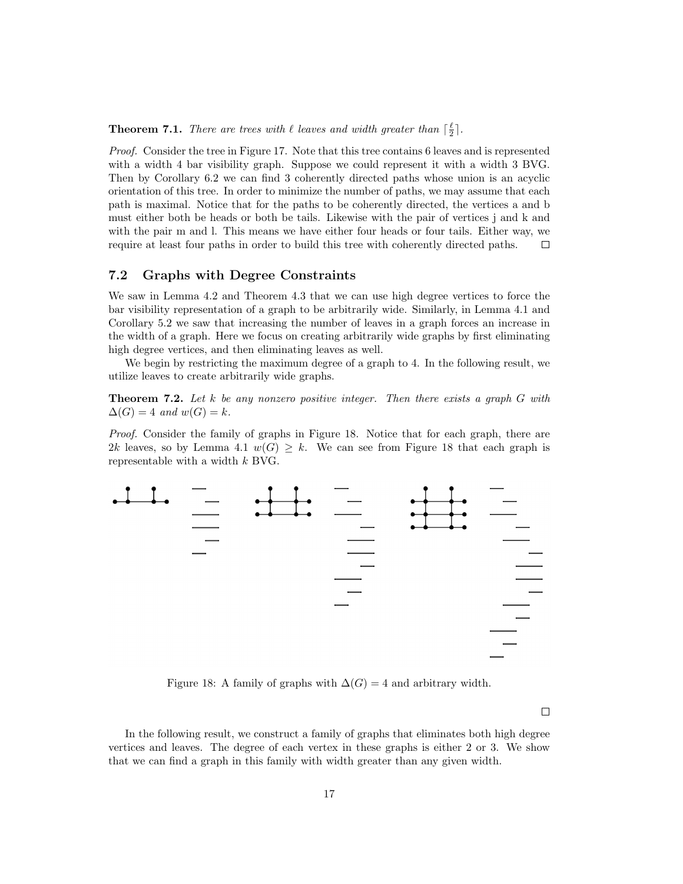**Theorem 7.1.** There are trees with  $\ell$  leaves and width greater than  $\lceil \frac{\ell}{2} \rceil$ .

Proof. Consider the tree in Figure 17. Note that this tree contains 6 leaves and is represented with a width 4 bar visibility graph. Suppose we could represent it with a width 3 BVG. Then by Corollary 6.2 we can find 3 coherently directed paths whose union is an acyclic orientation of this tree. In order to minimize the number of paths, we may assume that each path is maximal. Notice that for the paths to be coherently directed, the vertices a and b must either both be heads or both be tails. Likewise with the pair of vertices j and k and with the pair m and l. This means we have either four heads or four tails. Either way, we require at least four paths in order to build this tree with coherently directed paths.  $\Box$ 

#### 7.2 Graphs with Degree Constraints

We saw in Lemma 4.2 and Theorem 4.3 that we can use high degree vertices to force the bar visibility representation of a graph to be arbitrarily wide. Similarly, in Lemma 4.1 and Corollary 5.2 we saw that increasing the number of leaves in a graph forces an increase in the width of a graph. Here we focus on creating arbitrarily wide graphs by first eliminating high degree vertices, and then eliminating leaves as well.

We begin by restricting the maximum degree of a graph to 4. In the following result, we utilize leaves to create arbitrarily wide graphs.

**Theorem 7.2.** Let k be any nonzero positive integer. Then there exists a graph  $G$  with  $\Delta(G) = 4$  and  $w(G) = k$ .

Proof. Consider the family of graphs in Figure 18. Notice that for each graph, there are 2k leaves, so by Lemma 4.1  $w(G) \geq k$ . We can see from Figure 18 that each graph is representable with a width k BVG.



Figure 18: A family of graphs with  $\Delta(G) = 4$  and arbitrary width.

 $\Box$ 

In the following result, we construct a family of graphs that eliminates both high degree vertices and leaves. The degree of each vertex in these graphs is either 2 or 3. We show that we can find a graph in this family with width greater than any given width.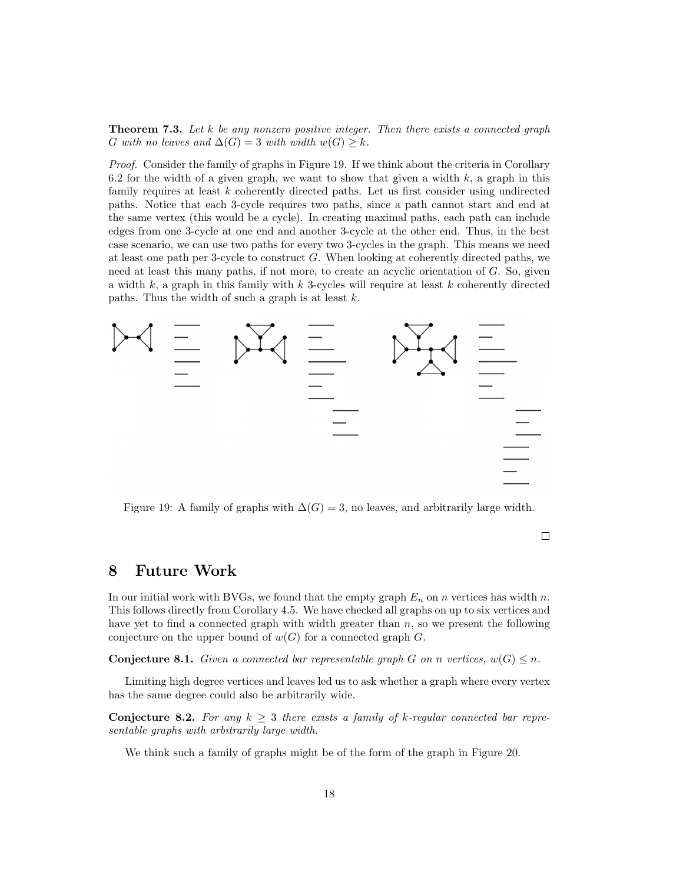**Theorem 7.3.** Let  $k$  be any nonzero positive integer. Then there exists a connected graph G with no leaves and  $\Delta(G) = 3$  with width  $w(G) \geq k$ .

Proof. Consider the family of graphs in Figure 19. If we think about the criteria in Corollary 6.2 for the width of a given graph, we want to show that given a width  $k$ , a graph in this family requires at least k coherently directed paths. Let us first consider using undirected paths. Notice that each 3-cycle requires two paths, since a path cannot start and end at the same vertex (this would be a cycle). In creating maximal paths, each path can include edges from one 3-cycle at one end and another 3-cycle at the other end. Thus, in the best case scenario, we can use two paths for every two 3-cycles in the graph. This means we need at least one path per 3-cycle to construct G. When looking at coherently directed paths, we need at least this many paths, if not more, to create an acyclic orientation of G. So, given a width  $k$ , a graph in this family with  $k$  3-cycles will require at least  $k$  coherently directed paths. Thus the width of such a graph is at least  $k$ .



Figure 19: A family of graphs with  $\Delta(G) = 3$ , no leaves, and arbitrarily large width.

 $\Box$ 

## 8 Future Work

In our initial work with BVGs, we found that the empty graph  $E_n$  on n vertices has width n. This follows directly from Corollary 4.5. We have checked all graphs on up to six vertices and have yet to find a connected graph with width greater than  $n$ , so we present the following conjecture on the upper bound of  $w(G)$  for a connected graph G.

**Conjecture 8.1.** Given a connected bar representable graph G on n vertices,  $w(G) \leq n$ .

Limiting high degree vertices and leaves led us to ask whether a graph where every vertex has the same degree could also be arbitrarily wide.

**Conjecture 8.2.** For any  $k \geq 3$  there exists a family of k-regular connected bar representable graphs with arbitrarily large width.

We think such a family of graphs might be of the form of the graph in Figure 20.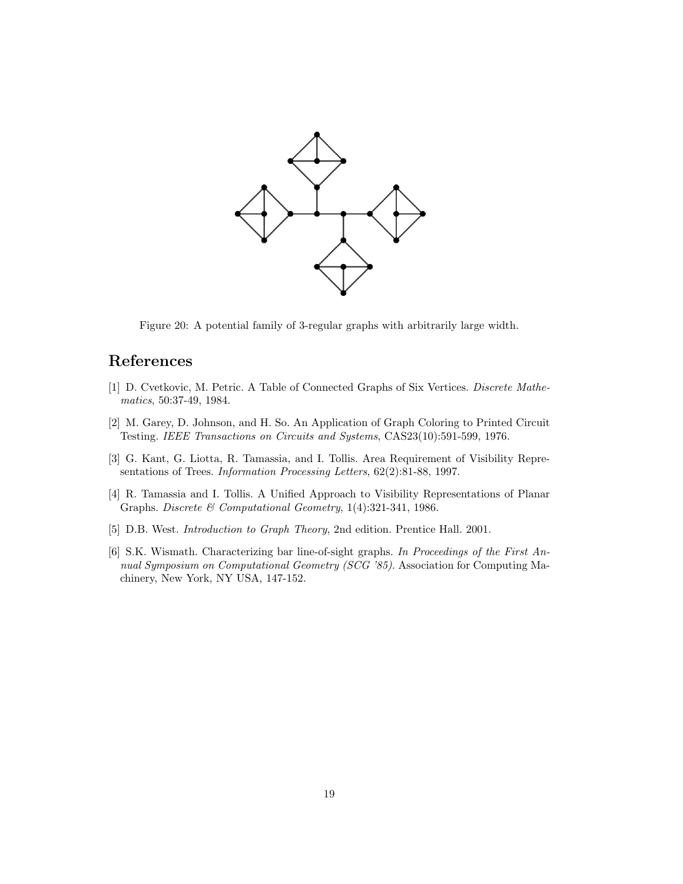

Figure 20: A potential family of 3-regular graphs with arbitrarily large width.

## References

- [1] D. Cvetkovic, M. Petric. A Table of Connected Graphs of Six Vertices. Discrete Mathematics, 50:37-49, 1984.
- [2] M. Garey, D. Johnson, and H. So. An Application of Graph Coloring to Printed Circuit Testing. IEEE Transactions on Circuits and Systems, CAS23(10):591-599, 1976.
- [3] G. Kant, G. Liotta, R. Tamassia, and I. Tollis. Area Requirement of Visibility Representations of Trees. Information Processing Letters, 62(2):81-88, 1997.
- [4] R. Tamassia and I. Tollis. A Unified Approach to Visibility Representations of Planar Graphs. Discrete & Computational Geometry, 1(4):321-341, 1986.
- [5] D.B. West. Introduction to Graph Theory, 2nd edition. Prentice Hall. 2001.
- [6] S.K. Wismath. Characterizing bar line-of-sight graphs. In Proceedings of the First Annual Symposium on Computational Geometry (SCG '85). Association for Computing Machinery, New York, NY USA, 147-152.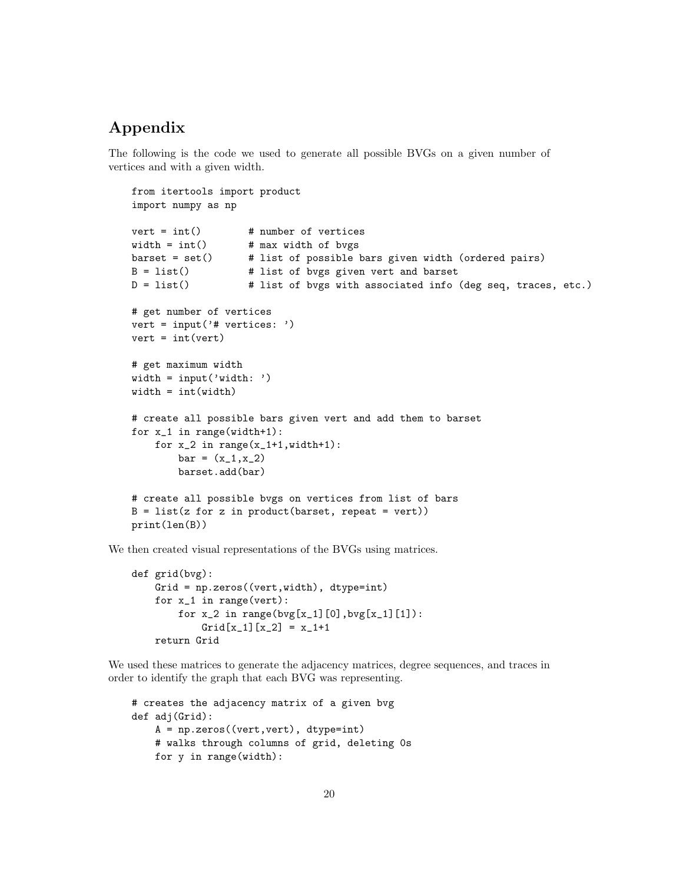## Appendix

The following is the code we used to generate all possible BVGs on a given number of vertices and with a given width.

```
from itertools import product
import numpy as np
vert = int() # number of vertices
width = int() # max width of bvgs
barset = set() # list of possible bars given width (ordered pairs)
B = list() # list of bvgs given vert and barset
D = list() # list of bvgs with associated info (deg seq, traces, etc.)
# get number of vertices
vert = input('# vertices: ')
vert = int(vert)# get maximum width
width = input('width: ')
width = int(width)# create all possible bars given vert and add them to barset
for x_1 in range(width+1):
    for x_2 in range(x_1+1, width+1):
       bar = (x_1, x_2)barset.add(bar)
# create all possible bvgs on vertices from list of bars
B = list(z for z in product(barset, repeat = vert))print(len(B))
```
We then created visual representations of the BVGs using matrices.

```
def grid(bvg):
   Grid = np.zeros((vert,width), dtype=int)
   for x_1 in range(vert):
        for x_2 in range(bvg[x_1][0], bvg[x_1][1]):
            Grid[x_1][x_2] = x_1+1return Grid
```
We used these matrices to generate the adjacency matrices, degree sequences, and traces in order to identify the graph that each BVG was representing.

```
# creates the adjacency matrix of a given bvg
def adj(Grid):
    A = np.zeros((vert,vert), dtype=int)
    # walks through columns of grid, deleting 0s
    for y in range(width):
```